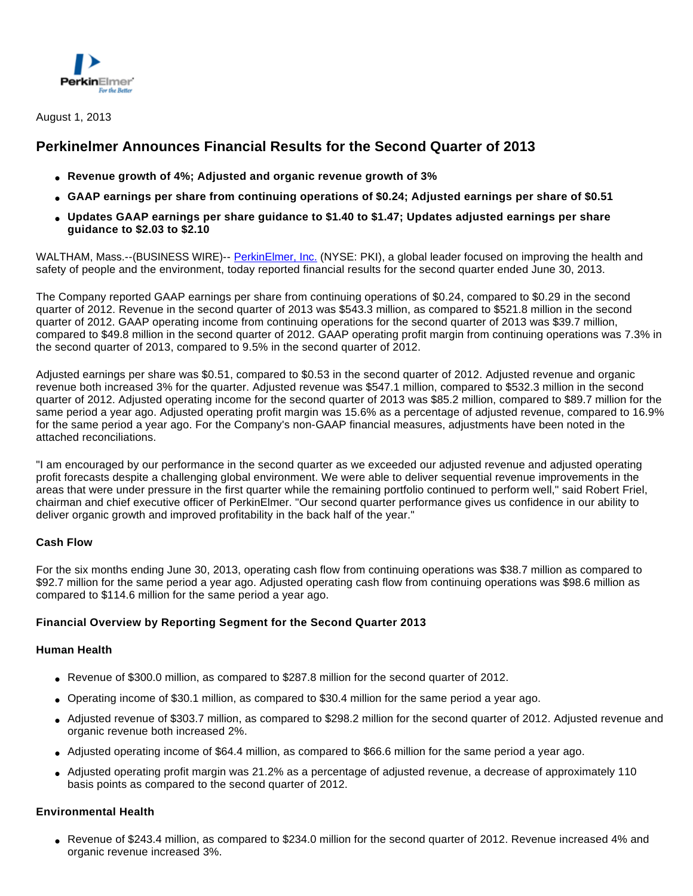

# **Perkinelmer Announces Financial Results for the Second Quarter of 2013**

- **Revenue growth of 4%; Adjusted and organic revenue growth of 3%**
- **GAAP earnings per share from continuing operations of \$0.24; Adjusted earnings per share of \$0.51**
- **Updates GAAP earnings per share guidance to \$1.40 to \$1.47; Updates adjusted earnings per share guidance to \$2.03 to \$2.10**

WALTHAM, Mass.--(BUSINESS WIRE)-- [PerkinElmer, Inc.](http://cts.businesswire.com/ct/CT?id=smartlink&url=http%3A%2F%2Fwww.perkinelmer.com&esheet=50678200&newsitemid=20130801006713&lan=en-US&anchor=PerkinElmer%2C+Inc.&index=1&md5=68e02aea65244094320fd72d7c20ee29) (NYSE: PKI), a global leader focused on improving the health and safety of people and the environment, today reported financial results for the second quarter ended June 30, 2013.

The Company reported GAAP earnings per share from continuing operations of \$0.24, compared to \$0.29 in the second quarter of 2012. Revenue in the second quarter of 2013 was \$543.3 million, as compared to \$521.8 million in the second quarter of 2012. GAAP operating income from continuing operations for the second quarter of 2013 was \$39.7 million, compared to \$49.8 million in the second quarter of 2012. GAAP operating profit margin from continuing operations was 7.3% in the second quarter of 2013, compared to 9.5% in the second quarter of 2012.

Adjusted earnings per share was \$0.51, compared to \$0.53 in the second quarter of 2012. Adjusted revenue and organic revenue both increased 3% for the quarter. Adjusted revenue was \$547.1 million, compared to \$532.3 million in the second quarter of 2012. Adjusted operating income for the second quarter of 2013 was \$85.2 million, compared to \$89.7 million for the same period a year ago. Adjusted operating profit margin was 15.6% as a percentage of adjusted revenue, compared to 16.9% for the same period a year ago. For the Company's non-GAAP financial measures, adjustments have been noted in the attached reconciliations.

"I am encouraged by our performance in the second quarter as we exceeded our adjusted revenue and adjusted operating profit forecasts despite a challenging global environment. We were able to deliver sequential revenue improvements in the areas that were under pressure in the first quarter while the remaining portfolio continued to perform well," said Robert Friel, chairman and chief executive officer of PerkinElmer. "Our second quarter performance gives us confidence in our ability to deliver organic growth and improved profitability in the back half of the year."

## **Cash Flow**

For the six months ending June 30, 2013, operating cash flow from continuing operations was \$38.7 million as compared to \$92.7 million for the same period a year ago. Adjusted operating cash flow from continuing operations was \$98.6 million as compared to \$114.6 million for the same period a year ago.

## **Financial Overview by Reporting Segment for the Second Quarter 2013**

## **Human Health**

- Revenue of \$300.0 million, as compared to \$287.8 million for the second quarter of 2012.
- Operating income of \$30.1 million, as compared to \$30.4 million for the same period a year ago.
- Adjusted revenue of \$303.7 million, as compared to \$298.2 million for the second quarter of 2012. Adjusted revenue and organic revenue both increased 2%.
- Adjusted operating income of \$64.4 million, as compared to \$66.6 million for the same period a year ago.
- Adjusted operating profit margin was 21.2% as a percentage of adjusted revenue, a decrease of approximately 110 basis points as compared to the second quarter of 2012.

## **Environmental Health**

● Revenue of \$243.4 million, as compared to \$234.0 million for the second quarter of 2012. Revenue increased 4% and organic revenue increased 3%.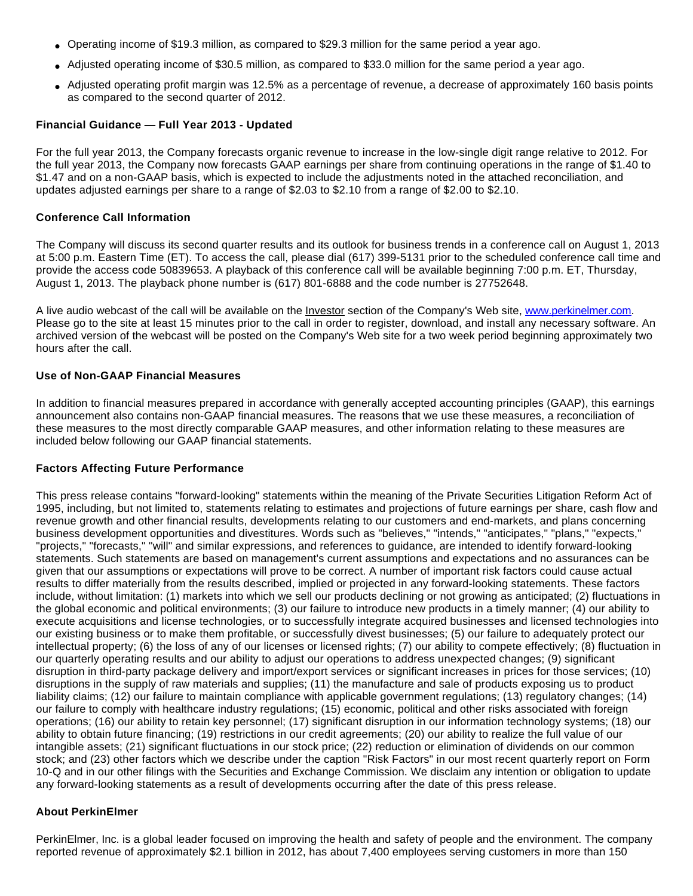- Operating income of \$19.3 million, as compared to \$29.3 million for the same period a year ago.
- Adjusted operating income of \$30.5 million, as compared to \$33.0 million for the same period a year ago.
- Adjusted operating profit margin was 12.5% as a percentage of revenue, a decrease of approximately 160 basis points as compared to the second quarter of 2012.

#### **Financial Guidance — Full Year 2013 - Updated**

For the full year 2013, the Company forecasts organic revenue to increase in the low-single digit range relative to 2012. For the full year 2013, the Company now forecasts GAAP earnings per share from continuing operations in the range of \$1.40 to \$1.47 and on a non-GAAP basis, which is expected to include the adjustments noted in the attached reconciliation, and updates adjusted earnings per share to a range of \$2.03 to \$2.10 from a range of \$2.00 to \$2.10.

#### **Conference Call Information**

The Company will discuss its second quarter results and its outlook for business trends in a conference call on August 1, 2013 at 5:00 p.m. Eastern Time (ET). To access the call, please dial (617) 399-5131 prior to the scheduled conference call time and provide the access code 50839653. A playback of this conference call will be available beginning 7:00 p.m. ET, Thursday, August 1, 2013. The playback phone number is (617) 801-6888 and the code number is 27752648.

A live audio webcast of the call will be available on the Investor section of the Company's Web site, [www.perkinelmer.com.](http://cts.businesswire.com/ct/CT?id=smartlink&url=http%3A%2F%2Fwww.perkinelmer.com&esheet=50678200&newsitemid=20130801006713&lan=en-US&anchor=www.perkinelmer.com&index=2&md5=d9c6139900a384c60944b957b93f1df4) Please go to the site at least 15 minutes prior to the call in order to register, download, and install any necessary software. An archived version of the webcast will be posted on the Company's Web site for a two week period beginning approximately two hours after the call.

#### **Use of Non-GAAP Financial Measures**

In addition to financial measures prepared in accordance with generally accepted accounting principles (GAAP), this earnings announcement also contains non-GAAP financial measures. The reasons that we use these measures, a reconciliation of these measures to the most directly comparable GAAP measures, and other information relating to these measures are included below following our GAAP financial statements.

#### **Factors Affecting Future Performance**

This press release contains "forward-looking" statements within the meaning of the Private Securities Litigation Reform Act of 1995, including, but not limited to, statements relating to estimates and projections of future earnings per share, cash flow and revenue growth and other financial results, developments relating to our customers and end-markets, and plans concerning business development opportunities and divestitures. Words such as "believes," "intends," "anticipates," "plans," "expects," "projects," "forecasts," "will" and similar expressions, and references to guidance, are intended to identify forward-looking statements. Such statements are based on management's current assumptions and expectations and no assurances can be given that our assumptions or expectations will prove to be correct. A number of important risk factors could cause actual results to differ materially from the results described, implied or projected in any forward-looking statements. These factors include, without limitation: (1) markets into which we sell our products declining or not growing as anticipated; (2) fluctuations in the global economic and political environments; (3) our failure to introduce new products in a timely manner; (4) our ability to execute acquisitions and license technologies, or to successfully integrate acquired businesses and licensed technologies into our existing business or to make them profitable, or successfully divest businesses; (5) our failure to adequately protect our intellectual property; (6) the loss of any of our licenses or licensed rights; (7) our ability to compete effectively; (8) fluctuation in our quarterly operating results and our ability to adjust our operations to address unexpected changes; (9) significant disruption in third-party package delivery and import/export services or significant increases in prices for those services; (10) disruptions in the supply of raw materials and supplies; (11) the manufacture and sale of products exposing us to product liability claims; (12) our failure to maintain compliance with applicable government regulations; (13) regulatory changes; (14) our failure to comply with healthcare industry regulations; (15) economic, political and other risks associated with foreign operations; (16) our ability to retain key personnel; (17) significant disruption in our information technology systems; (18) our ability to obtain future financing; (19) restrictions in our credit agreements; (20) our ability to realize the full value of our intangible assets; (21) significant fluctuations in our stock price; (22) reduction or elimination of dividends on our common stock; and (23) other factors which we describe under the caption "Risk Factors" in our most recent quarterly report on Form 10-Q and in our other filings with the Securities and Exchange Commission. We disclaim any intention or obligation to update any forward-looking statements as a result of developments occurring after the date of this press release.

## **About PerkinElmer**

PerkinElmer, Inc. is a global leader focused on improving the health and safety of people and the environment. The company reported revenue of approximately \$2.1 billion in 2012, has about 7,400 employees serving customers in more than 150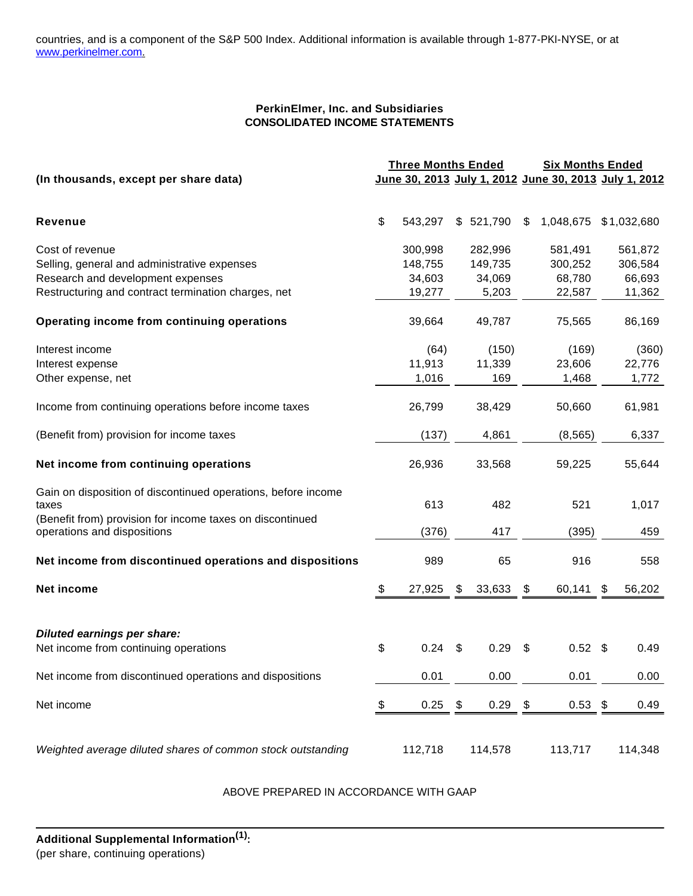countries, and is a component of the S&P 500 Index. Additional information is available through 1-877-PKI-NYSE, or at [www.perkinelmer.com.](http://cts.businesswire.com/ct/CT?id=smartlink&url=http%3A%2F%2Fwww.perkinelmer.com&esheet=50678200&newsitemid=20130801006713&lan=en-US&anchor=www.perkinelmer.com&index=3&md5=4a52b6ebe8e8dc14718997f46bbdaf56)

## **PerkinElmer, Inc. and Subsidiaries CONSOLIDATED INCOME STATEMENTS**

|                                                                        | <b>Three Months Ended</b> |      |           | <b>Six Months Ended</b> |                                                       |    |             |  |
|------------------------------------------------------------------------|---------------------------|------|-----------|-------------------------|-------------------------------------------------------|----|-------------|--|
| (In thousands, except per share data)                                  |                           |      |           |                         | June 30, 2013 July 1, 2012 June 30, 2013 July 1, 2012 |    |             |  |
|                                                                        |                           |      |           |                         |                                                       |    |             |  |
| <b>Revenue</b>                                                         | \$<br>543,297             |      | \$521,790 | S                       | 1,048,675                                             |    | \$1,032,680 |  |
| Cost of revenue                                                        | 300,998                   |      | 282,996   |                         | 581,491                                               |    | 561,872     |  |
| Selling, general and administrative expenses                           | 148,755                   |      | 149,735   |                         | 300,252                                               |    | 306,584     |  |
| Research and development expenses                                      | 34,603                    |      | 34,069    |                         | 68,780                                                |    | 66,693      |  |
| Restructuring and contract termination charges, net                    | 19,277                    |      | 5,203     |                         | 22,587                                                |    | 11,362      |  |
| Operating income from continuing operations                            | 39,664                    |      | 49,787    |                         | 75,565                                                |    | 86,169      |  |
| Interest income                                                        | (64)                      |      | (150)     |                         | (169)                                                 |    | (360)       |  |
| Interest expense                                                       | 11,913                    |      | 11,339    |                         | 23,606                                                |    | 22,776      |  |
| Other expense, net                                                     | 1,016                     |      | 169       |                         | 1,468                                                 |    | 1,772       |  |
| Income from continuing operations before income taxes                  | 26,799                    |      | 38,429    |                         | 50,660                                                |    | 61,981      |  |
| (Benefit from) provision for income taxes                              | (137)                     |      | 4,861     |                         | (8, 565)                                              |    | 6,337       |  |
| Net income from continuing operations                                  | 26,936                    |      | 33,568    |                         | 59,225                                                |    | 55,644      |  |
| Gain on disposition of discontinued operations, before income<br>taxes | 613                       |      | 482       |                         | 521                                                   |    | 1,017       |  |
| (Benefit from) provision for income taxes on discontinued              |                           |      |           |                         |                                                       |    |             |  |
| operations and dispositions                                            | (376)                     |      | 417       |                         | (395)                                                 |    | 459         |  |
| Net income from discontinued operations and dispositions               | 989                       |      | 65        |                         | 916                                                   |    | 558         |  |
| <b>Net income</b>                                                      | \$<br>27,925              | \$   | 33,633 \$ |                         | 60,141 \$                                             |    | 56,202      |  |
|                                                                        |                           |      |           |                         |                                                       |    |             |  |
| <b>Diluted earnings per share:</b>                                     |                           |      |           |                         |                                                       |    |             |  |
| Net income from continuing operations                                  | \$<br>0.24                | \$   | 0.29      | \$                      | 0.52                                                  | \$ | 0.49        |  |
| Net income from discontinued operations and dispositions               | 0.01                      |      | 0.00      |                         | 0.01                                                  |    | 0.00        |  |
| Net income                                                             | \$<br>0.25                | - \$ | 0.29      | $\sqrt{3}$              | $0.53$ \$                                             |    | 0.49        |  |
|                                                                        |                           |      |           |                         |                                                       |    |             |  |
| Weighted average diluted shares of common stock outstanding            | 112,718                   |      | 114,578   |                         | 113,717                                               |    | 114,348     |  |

ABOVE PREPARED IN ACCORDANCE WITH GAAP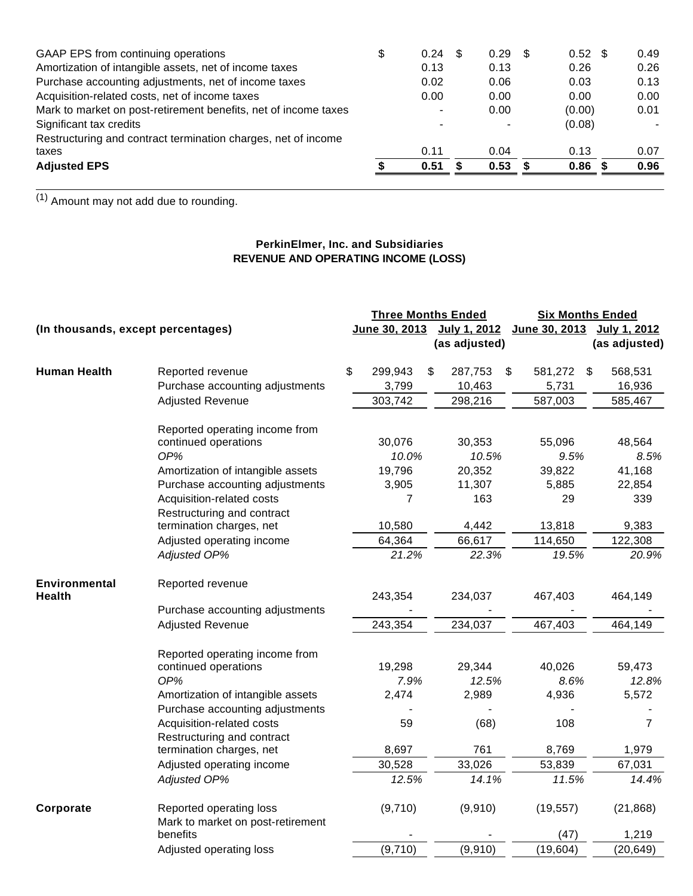| 0.51           |      | 0.53 |      | 0.86   |      | 0.96      |
|----------------|------|------|------|--------|------|-----------|
|                |      |      |      |        |      | 0.07      |
|                |      |      |      |        |      |           |
|                |      | $\,$ |      | (0.08) |      |           |
| $\blacksquare$ |      | 0.00 |      | (0.00) |      | 0.01      |
| 0.00           |      | 0.00 |      | 0.00   |      | 0.00      |
| 0.02           |      | 0.06 |      | 0.03   |      | 0.13      |
| 0.13           |      | 0.13 |      | 0.26   |      | 0.26      |
| \$<br>0.24     |      | 0.29 | - \$ |        |      | 0.49      |
|                | 0.11 |      | 0.04 |        | 0.13 | $0.52$ \$ |

 $(1)$  Amount may not add due to rounding.

# **PerkinElmer, Inc. and Subsidiaries REVENUE AND OPERATING INCOME (LOSS)**

|                                       |                                                                                            | <b>Three Months Ended</b><br><b>Six Months Ended</b> |                                                      |                        |                               |  |  |  |  |  |  |
|---------------------------------------|--------------------------------------------------------------------------------------------|------------------------------------------------------|------------------------------------------------------|------------------------|-------------------------------|--|--|--|--|--|--|
| (In thousands, except percentages)    |                                                                                            | June 30, 2013                                        | July 1, 2012<br>(as adjusted)                        | June 30, 2013          | July 1, 2012<br>(as adjusted) |  |  |  |  |  |  |
| <b>Human Health</b>                   | Reported revenue<br>Purchase accounting adjustments                                        | \$<br>299,943<br>3,799                               | 287,753<br>$\boldsymbol{\mathsf{S}}$<br>\$<br>10,463 | 581,272<br>\$<br>5,731 | 568,531<br>16,936             |  |  |  |  |  |  |
|                                       | <b>Adjusted Revenue</b>                                                                    | 303,742                                              | 298,216                                              | 587,003                | 585,467                       |  |  |  |  |  |  |
|                                       | Reported operating income from<br>continued operations                                     | 30,076                                               | 30,353                                               | 55,096                 | 48,564                        |  |  |  |  |  |  |
|                                       | OP%                                                                                        | 10.0%                                                | 10.5%                                                | 9.5%                   | 8.5%                          |  |  |  |  |  |  |
|                                       | Amortization of intangible assets                                                          | 19,796                                               | 20,352                                               | 39,822                 | 41,168                        |  |  |  |  |  |  |
|                                       | Purchase accounting adjustments                                                            | 3,905                                                | 11,307                                               | 5,885                  | 22,854                        |  |  |  |  |  |  |
|                                       | Acquisition-related costs<br>Restructuring and contract                                    | 7                                                    | 163                                                  | 29                     | 339                           |  |  |  |  |  |  |
|                                       | termination charges, net                                                                   | 10,580                                               | 4,442                                                | 13,818                 | 9,383                         |  |  |  |  |  |  |
|                                       | Adjusted operating income                                                                  | 64,364                                               | 66,617                                               | 114,650                | 122,308                       |  |  |  |  |  |  |
|                                       | Adjusted OP%                                                                               | 21.2%                                                | 22.3%                                                | 19.5%                  | 20.9%                         |  |  |  |  |  |  |
| <b>Environmental</b><br><b>Health</b> | Reported revenue                                                                           | 243,354                                              | 234,037                                              | 467,403                | 464,149                       |  |  |  |  |  |  |
|                                       | Purchase accounting adjustments<br>Adjusted Revenue                                        | 243,354                                              | 234,037                                              | 467,403                | 464,149                       |  |  |  |  |  |  |
|                                       |                                                                                            |                                                      |                                                      |                        |                               |  |  |  |  |  |  |
|                                       | Reported operating income from<br>continued operations                                     | 19,298                                               | 29,344                                               | 40,026                 | 59,473                        |  |  |  |  |  |  |
|                                       | OP%                                                                                        | 7.9%                                                 | 12.5%                                                | 8.6%                   | 12.8%                         |  |  |  |  |  |  |
|                                       | Amortization of intangible assets                                                          | 2,474                                                | 2,989                                                | 4,936                  | 5,572                         |  |  |  |  |  |  |
|                                       | Purchase accounting adjustments<br>Acquisition-related costs<br>Restructuring and contract | 59                                                   | (68)                                                 | 108                    | $\overline{7}$                |  |  |  |  |  |  |
|                                       | termination charges, net                                                                   | 8,697                                                | 761                                                  | 8,769                  | 1,979                         |  |  |  |  |  |  |
|                                       | Adjusted operating income                                                                  | 30,528                                               | 33,026                                               | 53,839                 | 67,031                        |  |  |  |  |  |  |
|                                       | Adjusted OP%                                                                               | 12.5%                                                | 14.1%                                                | 11.5%                  | 14.4%                         |  |  |  |  |  |  |
| Corporate                             | Reported operating loss<br>Mark to market on post-retirement                               | (9,710)                                              | (9,910)                                              | (19, 557)              | (21, 868)                     |  |  |  |  |  |  |
|                                       | benefits                                                                                   |                                                      |                                                      | (47)                   | 1,219                         |  |  |  |  |  |  |
|                                       | Adjusted operating loss                                                                    | (9,710)                                              | (9,910)                                              | (19,604)               | (20, 649)                     |  |  |  |  |  |  |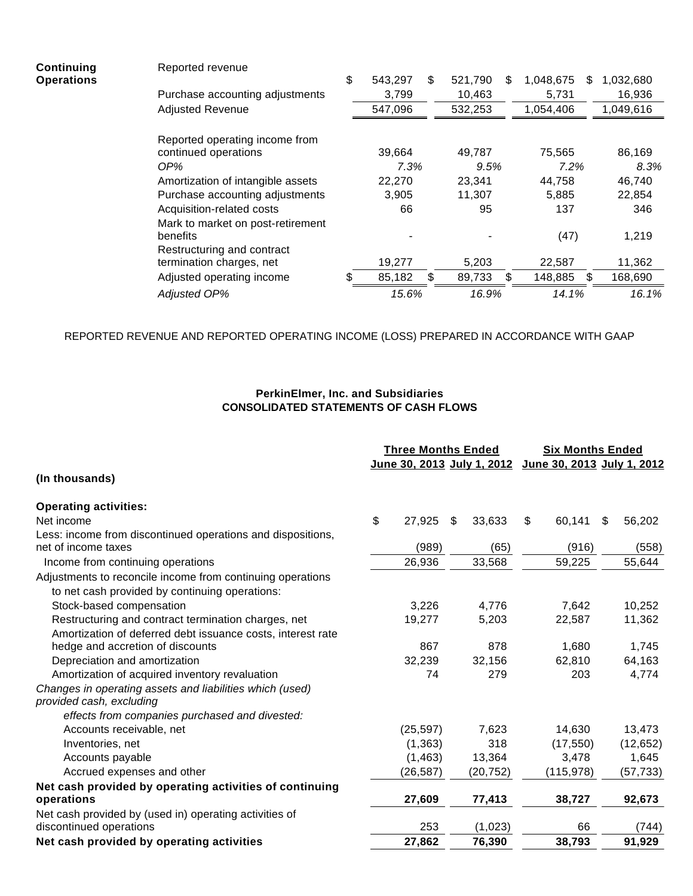| Continuing        | Reported revenue                  |               |     |              |                |           |
|-------------------|-----------------------------------|---------------|-----|--------------|----------------|-----------|
| <b>Operations</b> |                                   | \$<br>543,297 | \$. | 521,790<br>S | 1,048,675<br>S | 1,032,680 |
|                   | Purchase accounting adjustments   | 3,799         |     | 10,463       | 5,731          | 16,936    |
|                   | <b>Adjusted Revenue</b>           | 547,096       |     | 532,253      | 1,054,406      | 1,049,616 |
|                   | Reported operating income from    |               |     |              |                |           |
|                   | continued operations              | 39,664        |     | 49,787       | 75,565         | 86,169    |
|                   | OP%                               | 7.3%          |     | 9.5%         | 7.2%           | 8.3%      |
|                   | Amortization of intangible assets | 22,270        |     | 23,341       | 44,758         | 46,740    |
|                   | Purchase accounting adjustments   | 3,905         |     | 11,307       | 5,885          | 22,854    |
|                   | Acquisition-related costs         | 66            |     | 95           | 137            | 346       |
|                   | Mark to market on post-retirement |               |     |              |                |           |
|                   | benefits                          |               |     |              | (47)           | 1,219     |
|                   | Restructuring and contract        |               |     |              |                |           |
|                   | termination charges, net          | 19,277        |     | 5,203        | 22,587         | 11,362    |
|                   | Adjusted operating income         | 85,182        | S.  | \$<br>89,733 | 148,885<br>\$. | 168,690   |
|                   | <b>Adjusted OP%</b>               | 15.6%         |     | 16.9%        | 14.1%          | 16.1%     |

REPORTED REVENUE AND REPORTED OPERATING INCOME (LOSS) PREPARED IN ACCORDANCE WITH GAAP

# **PerkinElmer, Inc. and Subsidiaries CONSOLIDATED STATEMENTS OF CASH FLOWS**

|                                                                                                                    | <b>Three Months Ended</b>  |    | <b>Six Months Ended</b> |    |                            |    |                  |  |
|--------------------------------------------------------------------------------------------------------------------|----------------------------|----|-------------------------|----|----------------------------|----|------------------|--|
|                                                                                                                    | June 30, 2013 July 1, 2012 |    |                         |    | June 30, 2013 July 1, 2012 |    |                  |  |
| (In thousands)                                                                                                     |                            |    |                         |    |                            |    |                  |  |
| <b>Operating activities:</b>                                                                                       |                            |    |                         |    |                            |    |                  |  |
| Net income                                                                                                         | \$<br>27,925               | \$ | 33,633                  | \$ | 60,141                     | \$ | 56,202           |  |
| Less: income from discontinued operations and dispositions,<br>net of income taxes                                 | (989)                      |    | (65)                    |    | (916)                      |    | (558)            |  |
| Income from continuing operations                                                                                  | 26,936                     |    | 33,568                  |    | 59,225                     |    | 55,644           |  |
| Adjustments to reconcile income from continuing operations                                                         |                            |    |                         |    |                            |    |                  |  |
| to net cash provided by continuing operations:                                                                     |                            |    | 4,776                   |    | 7,642                      |    |                  |  |
| Stock-based compensation                                                                                           | 3,226<br>19,277            |    | 5,203                   |    | 22,587                     |    | 10,252<br>11,362 |  |
| Restructuring and contract termination charges, net<br>Amortization of deferred debt issuance costs, interest rate |                            |    |                         |    |                            |    |                  |  |
| hedge and accretion of discounts                                                                                   | 867                        |    | 878                     |    | 1,680                      |    | 1,745            |  |
| Depreciation and amortization                                                                                      | 32,239                     |    | 32,156                  |    | 62,810                     |    | 64,163           |  |
| Amortization of acquired inventory revaluation                                                                     | 74                         |    | 279                     |    | 203                        |    | 4,774            |  |
| Changes in operating assets and liabilities which (used)<br>provided cash, excluding                               |                            |    |                         |    |                            |    |                  |  |
| effects from companies purchased and divested:                                                                     |                            |    |                         |    |                            |    |                  |  |
| Accounts receivable, net                                                                                           | (25, 597)                  |    | 7,623                   |    | 14,630                     |    | 13,473           |  |
| Inventories, net                                                                                                   | (1, 363)                   |    | 318                     |    | (17, 550)                  |    | (12, 652)        |  |
| Accounts payable                                                                                                   | (1, 463)                   |    | 13,364                  |    | 3,478                      |    | 1,645            |  |
| Accrued expenses and other                                                                                         | (26, 587)                  |    | (20, 752)               |    | (115, 978)                 |    | (57, 733)        |  |
| Net cash provided by operating activities of continuing<br>operations                                              | 27,609                     |    | 77,413                  |    | 38,727                     |    | 92,673           |  |
| Net cash provided by (used in) operating activities of                                                             |                            |    |                         |    |                            |    |                  |  |
| discontinued operations                                                                                            | 253                        |    | (1,023)                 |    | 66                         |    | (744)            |  |
| Net cash provided by operating activities                                                                          | 27,862                     |    | 76,390                  |    | 38,793                     |    | 91,929           |  |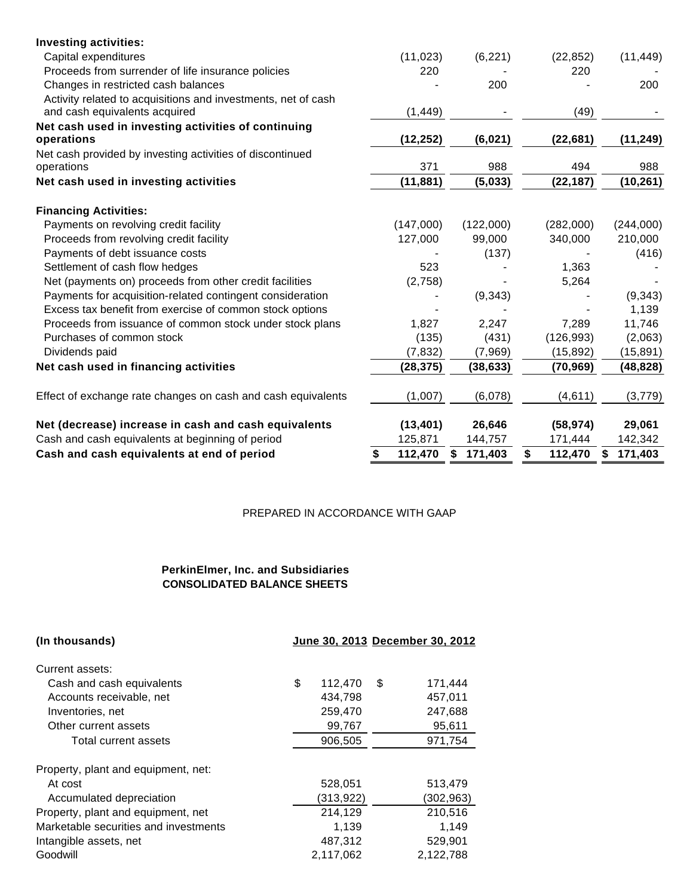| <b>Investing activities:</b>                                                                             |               |               |               |   |           |
|----------------------------------------------------------------------------------------------------------|---------------|---------------|---------------|---|-----------|
| Capital expenditures                                                                                     | (11, 023)     | (6, 221)      | (22, 852)     |   | (11, 449) |
| Proceeds from surrender of life insurance policies                                                       | 220           |               | 220           |   |           |
| Changes in restricted cash balances                                                                      |               | 200           |               |   | 200       |
| Activity related to acquisitions and investments, net of cash                                            |               |               |               |   |           |
| and cash equivalents acquired                                                                            | (1, 449)      |               | (49)          |   |           |
| Net cash used in investing activities of continuing                                                      |               |               |               |   |           |
| operations                                                                                               | (12, 252)     | (6,021)       | (22, 681)     |   | (11, 249) |
| Net cash provided by investing activities of discontinued                                                |               |               |               |   |           |
| operations                                                                                               | 371           | 988           | 494           |   | 988       |
| Net cash used in investing activities                                                                    | (11, 881)     | (5,033)       | (22, 187)     |   | (10, 261) |
| <b>Financing Activities:</b>                                                                             |               |               |               |   |           |
| Payments on revolving credit facility                                                                    | (147,000)     | (122,000)     | (282,000)     |   | (244,000) |
| Proceeds from revolving credit facility                                                                  | 127,000       | 99,000        | 340,000       |   | 210,000   |
| Payments of debt issuance costs                                                                          |               | (137)         |               |   | (416)     |
| Settlement of cash flow hedges                                                                           | 523           |               | 1,363         |   |           |
| Net (payments on) proceeds from other credit facilities                                                  | (2,758)       |               | 5,264         |   |           |
| Payments for acquisition-related contingent consideration                                                |               | (9, 343)      |               |   | (9, 343)  |
| Excess tax benefit from exercise of common stock options                                                 |               |               |               |   | 1,139     |
| Proceeds from issuance of common stock under stock plans                                                 | 1,827         | 2,247         | 7,289         |   | 11,746    |
| Purchases of common stock                                                                                | (135)         | (431)         | (126, 993)    |   | (2,063)   |
| Dividends paid                                                                                           | (7, 832)      | (7,969)       | (15, 892)     |   | (15, 891) |
| Net cash used in financing activities                                                                    | (28, 375)     | (38, 633)     | (70, 969)     |   | (48,828)  |
| Effect of exchange rate changes on cash and cash equivalents                                             | (1,007)       | (6,078)       | (4,611)       |   | (3, 779)  |
|                                                                                                          | (13, 401)     | 26,646        | (58, 974)     |   | 29,061    |
| Net (decrease) increase in cash and cash equivalents<br>Cash and cash equivalents at beginning of period | 125,871       | 144,757       | 171,444       |   | 142,342   |
|                                                                                                          |               |               |               |   |           |
| Cash and cash equivalents at end of period                                                               | \$<br>112,470 | 171,403<br>\$ | \$<br>112,470 | S | 171,403   |

# PREPARED IN ACCORDANCE WITH GAAP

# **PerkinElmer, Inc. and Subsidiaries CONSOLIDATED BALANCE SHEETS**

| (In thousands)                        | June 30, 2013 December 30, 2012 |            |   |            |  |  |  |
|---------------------------------------|---------------------------------|------------|---|------------|--|--|--|
| Current assets:                       |                                 |            |   |            |  |  |  |
| Cash and cash equivalents             | \$                              | 112,470    | S | 171,444    |  |  |  |
| Accounts receivable, net              |                                 | 434,798    |   | 457,011    |  |  |  |
| Inventories, net                      |                                 | 259,470    |   | 247,688    |  |  |  |
| Other current assets                  |                                 | 99,767     |   | 95,611     |  |  |  |
| Total current assets                  |                                 | 906,505    |   | 971,754    |  |  |  |
| Property, plant and equipment, net:   |                                 |            |   |            |  |  |  |
| At cost                               |                                 | 528,051    |   | 513,479    |  |  |  |
| Accumulated depreciation              |                                 | (313, 922) |   | (302, 963) |  |  |  |
| Property, plant and equipment, net    |                                 | 214,129    |   | 210,516    |  |  |  |
| Marketable securities and investments |                                 | 1,139      |   | 1,149      |  |  |  |
| Intangible assets, net                |                                 | 487,312    |   | 529,901    |  |  |  |
| Goodwill                              |                                 | 2,117,062  |   | 2,122,788  |  |  |  |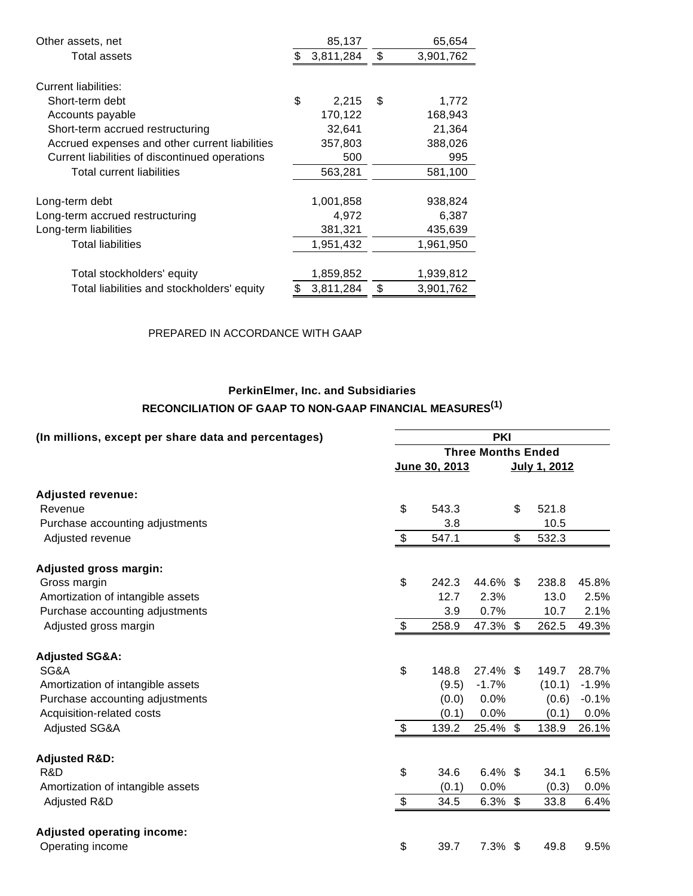| Other assets, net                              | 85,137 |           |                 |  |  |  |  |  |  |  | 65,654 |
|------------------------------------------------|--------|-----------|-----------------|--|--|--|--|--|--|--|--------|
| Total assets                                   | S      | 3,811,284 | \$<br>3,901,762 |  |  |  |  |  |  |  |        |
| Current liabilities:                           |        |           |                 |  |  |  |  |  |  |  |        |
| Short-term debt                                | \$     | 2,215     | \$<br>1,772     |  |  |  |  |  |  |  |        |
| Accounts payable                               |        | 170,122   | 168,943         |  |  |  |  |  |  |  |        |
| Short-term accrued restructuring               |        | 32,641    | 21,364          |  |  |  |  |  |  |  |        |
| Accrued expenses and other current liabilities |        | 357,803   | 388,026         |  |  |  |  |  |  |  |        |
| Current liabilities of discontinued operations |        | 500       | 995             |  |  |  |  |  |  |  |        |
| Total current liabilities                      |        | 563,281   | 581,100         |  |  |  |  |  |  |  |        |
|                                                |        |           |                 |  |  |  |  |  |  |  |        |
| Long-term debt                                 |        | 1,001,858 | 938,824         |  |  |  |  |  |  |  |        |
| Long-term accrued restructuring                |        | 4,972     | 6,387           |  |  |  |  |  |  |  |        |
| Long-term liabilities                          |        | 381,321   | 435,639         |  |  |  |  |  |  |  |        |
| <b>Total liabilities</b>                       |        | 1,951,432 | 1,961,950       |  |  |  |  |  |  |  |        |
|                                                |        |           |                 |  |  |  |  |  |  |  |        |
| Total stockholders' equity                     |        | 1,859,852 | 1,939,812       |  |  |  |  |  |  |  |        |
| Total liabilities and stockholders' equity     |        | 3,811,284 | \$<br>3,901,762 |  |  |  |  |  |  |  |        |

# PREPARED IN ACCORDANCE WITH GAAP

# **PerkinElmer, Inc. and Subsidiaries RECONCILIATION OF GAAP TO NON-GAAP FINANCIAL MEASURES(1)**

| (In millions, except per share data and percentages) |                           | <b>PKI</b>    |            |    |              |         |  |  |  |  |
|------------------------------------------------------|---------------------------|---------------|------------|----|--------------|---------|--|--|--|--|
|                                                      | <b>Three Months Ended</b> |               |            |    |              |         |  |  |  |  |
|                                                      |                           | June 30, 2013 |            |    | July 1, 2012 |         |  |  |  |  |
| <b>Adjusted revenue:</b>                             |                           |               |            |    |              |         |  |  |  |  |
| Revenue                                              | \$                        | 543.3         |            | \$ | 521.8        |         |  |  |  |  |
| Purchase accounting adjustments                      |                           | 3.8           |            |    | 10.5         |         |  |  |  |  |
| Adjusted revenue                                     | \$                        | 547.1         |            | \$ | 532.3        |         |  |  |  |  |
| Adjusted gross margin:                               |                           |               |            |    |              |         |  |  |  |  |
| Gross margin                                         | \$                        | 242.3         | 44.6% \$   |    | 238.8        | 45.8%   |  |  |  |  |
| Amortization of intangible assets                    |                           | 12.7          | 2.3%       |    | 13.0         | 2.5%    |  |  |  |  |
| Purchase accounting adjustments                      |                           | 3.9           | 0.7%       |    | 10.7         | 2.1%    |  |  |  |  |
| Adjusted gross margin                                | $\boldsymbol{\mathsf{S}}$ | 258.9         | 47.3% \$   |    | 262.5        | 49.3%   |  |  |  |  |
| <b>Adjusted SG&amp;A:</b>                            |                           |               |            |    |              |         |  |  |  |  |
| SG&A                                                 | \$                        | 148.8         | 27.4% \$   |    | 149.7        | 28.7%   |  |  |  |  |
| Amortization of intangible assets                    |                           | (9.5)         | $-1.7%$    |    | (10.1)       | $-1.9%$ |  |  |  |  |
| Purchase accounting adjustments                      |                           | (0.0)         | 0.0%       |    | (0.6)        | $-0.1%$ |  |  |  |  |
| Acquisition-related costs                            |                           | (0.1)         | 0.0%       |    | (0.1)        | 0.0%    |  |  |  |  |
| Adjusted SG&A                                        | \$                        | 139.2         | 25.4% \$   |    | 138.9        | 26.1%   |  |  |  |  |
| <b>Adjusted R&amp;D:</b>                             |                           |               |            |    |              |         |  |  |  |  |
| R&D                                                  | \$                        | 34.6          | $6.4\%$ \$ |    | 34.1         | 6.5%    |  |  |  |  |
| Amortization of intangible assets                    |                           | (0.1)         | 0.0%       |    | (0.3)        | 0.0%    |  |  |  |  |
| Adjusted R&D                                         | \$                        | 34.5          | 6.3%       | \$ | 33.8         | 6.4%    |  |  |  |  |
| <b>Adjusted operating income:</b>                    |                           |               |            |    |              |         |  |  |  |  |
| Operating income                                     | \$                        | 39.7          | $7.3\%$ \$ |    | 49.8         | 9.5%    |  |  |  |  |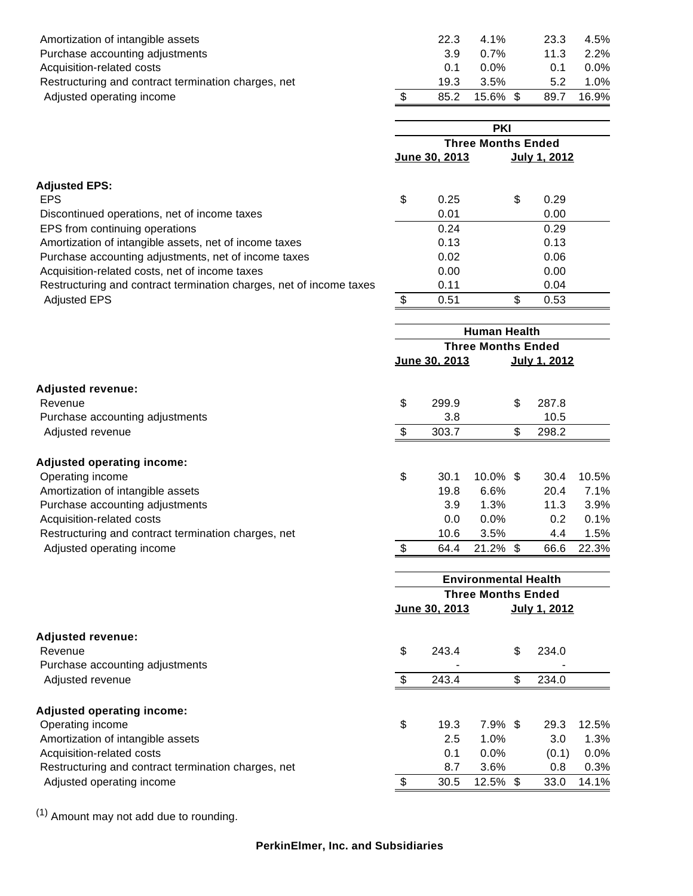| Amortization of intangible assets                   | 22.3 | $4.1\%$     | 23.3 | 4.5%    |
|-----------------------------------------------------|------|-------------|------|---------|
| Purchase accounting adjustments                     | 3.9  | $0.7\%$     | 11.3 | $2.2\%$ |
| Acquisition-related costs                           | 0.1  | $0.0\%$     | 0.1  | $0.0\%$ |
| Restructuring and contract termination charges, net | 19.3 | 3.5%        | 5.2  | $1.0\%$ |
| Adjusted operating income                           | 85.2 | $15.6\%$ \$ | 89.7 | 16.9%   |

|                                                                     | <b>PKI</b>                                       |               |                             |    |              |       |  |  |  |  |  |  |
|---------------------------------------------------------------------|--------------------------------------------------|---------------|-----------------------------|----|--------------|-------|--|--|--|--|--|--|
|                                                                     |                                                  |               | <b>Three Months Ended</b>   |    |              |       |  |  |  |  |  |  |
|                                                                     |                                                  | June 30, 2013 |                             |    | July 1, 2012 |       |  |  |  |  |  |  |
| <b>Adjusted EPS:</b>                                                |                                                  |               |                             |    |              |       |  |  |  |  |  |  |
| <b>EPS</b>                                                          | \$                                               | 0.25          |                             | \$ | 0.29         |       |  |  |  |  |  |  |
| Discontinued operations, net of income taxes                        |                                                  | 0.01          |                             |    | 0.00         |       |  |  |  |  |  |  |
| EPS from continuing operations                                      |                                                  | 0.24          |                             |    | 0.29         |       |  |  |  |  |  |  |
| Amortization of intangible assets, net of income taxes              |                                                  | 0.13          |                             |    | 0.13         |       |  |  |  |  |  |  |
| Purchase accounting adjustments, net of income taxes                |                                                  | 0.02          |                             |    | 0.06         |       |  |  |  |  |  |  |
| Acquisition-related costs, net of income taxes                      |                                                  | 0.00          |                             |    | 0.00         |       |  |  |  |  |  |  |
| Restructuring and contract termination charges, net of income taxes |                                                  | 0.11          |                             |    | 0.04         |       |  |  |  |  |  |  |
| <b>Adjusted EPS</b>                                                 | \$                                               | 0.51          |                             | \$ | 0.53         |       |  |  |  |  |  |  |
|                                                                     |                                                  |               |                             |    |              |       |  |  |  |  |  |  |
|                                                                     | <b>Human Health</b><br><b>Three Months Ended</b> |               |                             |    |              |       |  |  |  |  |  |  |
|                                                                     |                                                  | June 30, 2013 |                             |    | July 1, 2012 |       |  |  |  |  |  |  |
|                                                                     |                                                  |               |                             |    |              |       |  |  |  |  |  |  |
| <b>Adjusted revenue:</b>                                            |                                                  |               |                             |    |              |       |  |  |  |  |  |  |
| Revenue                                                             | \$                                               | 299.9         |                             | \$ | 287.8        |       |  |  |  |  |  |  |
| Purchase accounting adjustments                                     |                                                  | 3.8           |                             |    | 10.5         |       |  |  |  |  |  |  |
| Adjusted revenue                                                    | \$                                               | 303.7         |                             | \$ | 298.2        |       |  |  |  |  |  |  |
| <b>Adjusted operating income:</b>                                   |                                                  |               |                             |    |              |       |  |  |  |  |  |  |
| Operating income                                                    | \$                                               | 30.1          | 10.0% \$                    |    | 30.4         | 10.5% |  |  |  |  |  |  |
| Amortization of intangible assets                                   |                                                  | 19.8          | 6.6%                        |    | 20.4         | 7.1%  |  |  |  |  |  |  |
| Purchase accounting adjustments                                     |                                                  | 3.9           | 1.3%                        |    | 11.3         | 3.9%  |  |  |  |  |  |  |
| Acquisition-related costs                                           |                                                  | 0.0           | 0.0%                        |    | 0.2          | 0.1%  |  |  |  |  |  |  |
| Restructuring and contract termination charges, net                 |                                                  | 10.6          | 3.5%                        |    | 4.4          | 1.5%  |  |  |  |  |  |  |
| Adjusted operating income                                           | \$                                               | 64.4          | 21.2% \$                    |    | 66.6         | 22.3% |  |  |  |  |  |  |
|                                                                     |                                                  |               |                             |    |              |       |  |  |  |  |  |  |
|                                                                     |                                                  |               | <b>Environmental Health</b> |    |              |       |  |  |  |  |  |  |
|                                                                     |                                                  |               | <b>Three Months Ended</b>   |    |              |       |  |  |  |  |  |  |
|                                                                     |                                                  | June 30, 2013 |                             |    | July 1, 2012 |       |  |  |  |  |  |  |
| <b>Adjusted revenue:</b>                                            |                                                  |               |                             |    |              |       |  |  |  |  |  |  |
| Revenue                                                             | \$                                               | 243.4         |                             | \$ | 234.0        |       |  |  |  |  |  |  |
| Purchase accounting adjustments                                     |                                                  |               |                             |    |              |       |  |  |  |  |  |  |
| Adjusted revenue                                                    | \$                                               | 243.4         |                             | \$ | 234.0        |       |  |  |  |  |  |  |
|                                                                     |                                                  |               |                             |    |              |       |  |  |  |  |  |  |
| <b>Adjusted operating income:</b>                                   |                                                  |               |                             |    |              |       |  |  |  |  |  |  |
| Operating income                                                    | \$                                               | 19.3          | 7.9% \$                     |    | 29.3         | 12.5% |  |  |  |  |  |  |
| Amortization of intangible assets                                   |                                                  | 2.5           | 1.0%                        |    | 3.0          | 1.3%  |  |  |  |  |  |  |
| Acquisition-related costs                                           |                                                  | 0.1           | 0.0%                        |    | (0.1)        | 0.0%  |  |  |  |  |  |  |
| Restructuring and contract termination charges, net                 |                                                  | 8.7           | 3.6%                        |    | 0.8          | 0.3%  |  |  |  |  |  |  |
| Adjusted operating income                                           | \$                                               | 30.5          | 12.5% \$                    |    | 33.0         | 14.1% |  |  |  |  |  |  |

(1) Amount may not add due to rounding.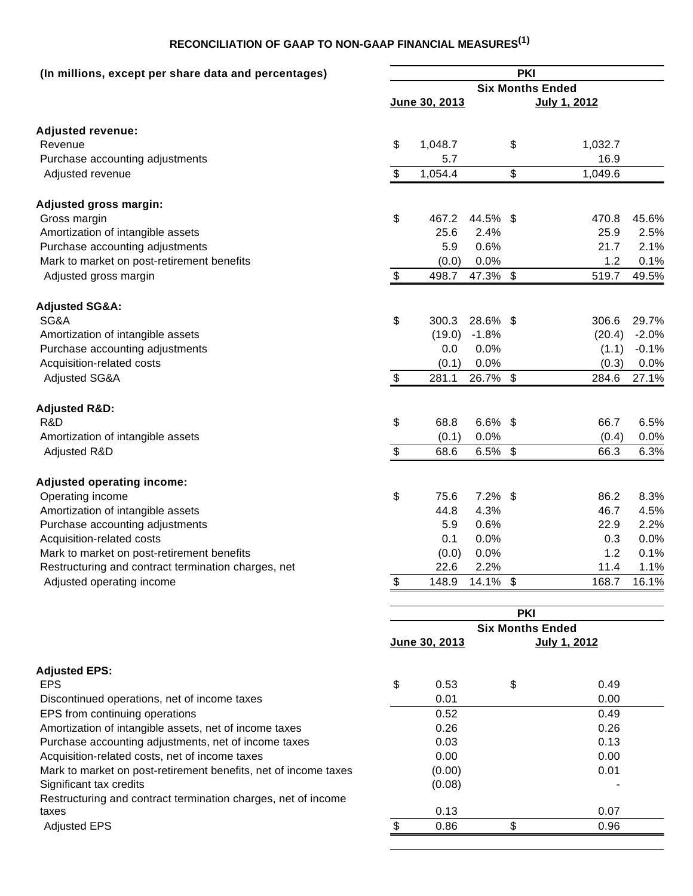# **RECONCILIATION OF GAAP TO NON-GAAP FINANCIAL MEASURES(1)**

# **(In millions, except per share data and percentages) PKI**

| (in immons, except per share data and percentages)     | гм                      |               |            |    |              |         |  |  |  |  |
|--------------------------------------------------------|-------------------------|---------------|------------|----|--------------|---------|--|--|--|--|
|                                                        | <b>Six Months Ended</b> |               |            |    |              |         |  |  |  |  |
|                                                        |                         | June 30, 2013 |            |    | July 1, 2012 |         |  |  |  |  |
| <b>Adjusted revenue:</b>                               |                         |               |            |    |              |         |  |  |  |  |
| Revenue                                                | \$                      | 1,048.7       |            | \$ | 1,032.7      |         |  |  |  |  |
| Purchase accounting adjustments                        |                         | 5.7           |            |    | 16.9         |         |  |  |  |  |
| Adjusted revenue                                       | \$                      | 1,054.4       |            | \$ | 1,049.6      |         |  |  |  |  |
| <b>Adjusted gross margin:</b>                          |                         |               |            |    |              |         |  |  |  |  |
| Gross margin                                           | \$                      | 467.2         | 44.5% \$   |    | 470.8        | 45.6%   |  |  |  |  |
| Amortization of intangible assets                      |                         | 25.6          | 2.4%       |    | 25.9         | 2.5%    |  |  |  |  |
| Purchase accounting adjustments                        |                         | 5.9           | 0.6%       |    | 21.7         | 2.1%    |  |  |  |  |
| Mark to market on post-retirement benefits             |                         | (0.0)         | 0.0%       |    | 1.2          | 0.1%    |  |  |  |  |
| Adjusted gross margin                                  | $\pmb{\mathfrak{P}}$    | 498.7         | 47.3% \$   |    | 519.7        | 49.5%   |  |  |  |  |
| <b>Adjusted SG&amp;A:</b>                              |                         |               |            |    |              |         |  |  |  |  |
| SG&A                                                   | \$                      | 300.3         | 28.6% \$   |    | 306.6        | 29.7%   |  |  |  |  |
| Amortization of intangible assets                      |                         | (19.0)        | $-1.8%$    |    | (20.4)       | $-2.0%$ |  |  |  |  |
| Purchase accounting adjustments                        |                         | 0.0           | 0.0%       |    | (1.1)        | $-0.1%$ |  |  |  |  |
| Acquisition-related costs                              |                         | (0.1)         | 0.0%       |    | (0.3)        | 0.0%    |  |  |  |  |
| Adjusted SG&A                                          | $\boldsymbol{\$}$       | 281.1         | 26.7% \$   |    | 284.6        | 27.1%   |  |  |  |  |
| <b>Adjusted R&amp;D:</b>                               |                         |               |            |    |              |         |  |  |  |  |
| R&D                                                    | \$                      | 68.8          | $6.6\%$ \$ |    | 66.7         | 6.5%    |  |  |  |  |
| Amortization of intangible assets                      |                         | (0.1)         | 0.0%       |    | (0.4)        | 0.0%    |  |  |  |  |
| Adjusted R&D                                           | \$                      | 68.6          | $6.5\%$ \$ |    | 66.3         | 6.3%    |  |  |  |  |
| <b>Adjusted operating income:</b>                      |                         |               |            |    |              |         |  |  |  |  |
| Operating income                                       | \$                      | 75.6          | $7.2\%$ \$ |    | 86.2         | 8.3%    |  |  |  |  |
| Amortization of intangible assets                      |                         | 44.8          | 4.3%       |    | 46.7         | 4.5%    |  |  |  |  |
| Purchase accounting adjustments                        |                         | 5.9           | 0.6%       |    | 22.9         | 2.2%    |  |  |  |  |
| Acquisition-related costs                              |                         | 0.1           | 0.0%       |    | 0.3          | 0.0%    |  |  |  |  |
| Mark to market on post-retirement benefits             |                         | (0.0)         | 0.0%       |    | 1.2          | 0.1%    |  |  |  |  |
| Restructuring and contract termination charges, net    |                         | 22.6          | 2.2%       |    | 11.4         | 1.1%    |  |  |  |  |
| Adjusted operating income                              | ¢                       | 148.9         | 14.1%      | \$ | 168.7        | 16.1%   |  |  |  |  |
|                                                        |                         |               |            |    | <b>PKI</b>   |         |  |  |  |  |
|                                                        | <b>Six Months Ended</b> |               |            |    |              |         |  |  |  |  |
|                                                        |                         | June 30, 2013 |            |    | July 1, 2012 |         |  |  |  |  |
| <b>Adjusted EPS:</b>                                   |                         |               |            |    |              |         |  |  |  |  |
| <b>EPS</b>                                             | \$                      | 0.53          |            | \$ | 0.49         |         |  |  |  |  |
| Discontinued operations, net of income taxes           |                         | 0.01          |            |    | 0.00         |         |  |  |  |  |
| EPS from continuing operations                         |                         | 0.52          |            |    | 0.49         |         |  |  |  |  |
| Amortization of intangible assets, net of income taxes |                         | 0.26          |            |    | 0.26         |         |  |  |  |  |
| Purchase accounting adjustments, net of income taxes   |                         | 0.03          |            |    | 0.13         |         |  |  |  |  |

| Acquisition-related costs, net of income taxes |  |  |
|------------------------------------------------|--|--|

| <b>EPS</b>                                                      | \$<br>0.53 | \$<br>0.49 |
|-----------------------------------------------------------------|------------|------------|
| Discontinued operations, net of income taxes                    | 0.01       | 0.00       |
| EPS from continuing operations                                  | 0.52       | 0.49       |
| Amortization of intangible assets, net of income taxes          | 0.26       | 0.26       |
| Purchase accounting adjustments, net of income taxes            | 0.03       | 0.13       |
| Acquisition-related costs, net of income taxes                  | 0.00       | 0.00       |
| Mark to market on post-retirement benefits, net of income taxes | (0.00)     | 0.01       |
| Significant tax credits                                         | (0.08)     |            |
| Restructuring and contract termination charges, net of income   |            |            |
| taxes                                                           | 0.13       | 0.07       |
| <b>Adjusted EPS</b>                                             | 0.86       | 0.96       |
|                                                                 |            |            |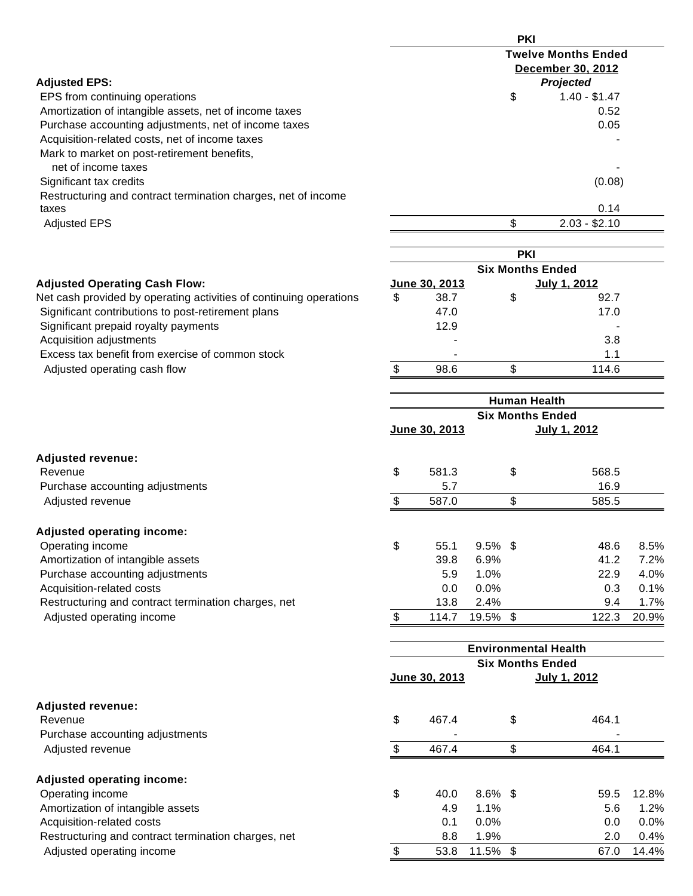|                                                               | <b>PKI</b>                 |
|---------------------------------------------------------------|----------------------------|
|                                                               | <b>Twelve Months Ended</b> |
|                                                               | <b>December 30, 2012</b>   |
| <b>Adjusted EPS:</b>                                          | Projected                  |
| EPS from continuing operations                                | \$<br>$1.40 - $1.47$       |
| Amortization of intangible assets, net of income taxes        | 0.52                       |
| Purchase accounting adjustments, net of income taxes          | 0.05                       |
| Acquisition-related costs, net of income taxes                |                            |
| Mark to market on post-retirement benefits,                   |                            |
| net of income taxes                                           |                            |
| Significant tax credits                                       | (0.08)                     |
| Restructuring and contract termination charges, net of income |                            |
| taxes                                                         | 0.14                       |
| <b>Adiusted EPS</b>                                           | ዳ<br>$2.03 - $2.10$        |

|                                                                    |  |                      | <b>Six Months Ended</b> |       |
|--------------------------------------------------------------------|--|----------------------|-------------------------|-------|
| <b>Adjusted Operating Cash Flow:</b>                               |  | <b>June 30, 2013</b> | July 1, 2012            |       |
| Net cash provided by operating activities of continuing operations |  | 38.7                 | S                       | 92.7  |
| Significant contributions to post-retirement plans                 |  | 47.0                 |                         | 17.0  |
| Significant prepaid royalty payments                               |  | 12.9                 |                         |       |
| Acquisition adjustments                                            |  |                      |                         | 3.8   |
| Excess tax benefit from exercise of common stock                   |  | $\,$                 |                         | 1.1   |
| Adjusted operating cash flow                                       |  | 98.6                 |                         | 114.6 |

**PKI**

|                                                     |                         | <b>Human Health</b> |            |    |                     |         |
|-----------------------------------------------------|-------------------------|---------------------|------------|----|---------------------|---------|
|                                                     | <b>Six Months Ended</b> |                     |            |    |                     |         |
|                                                     |                         | June 30, 2013       |            |    | <u>July 1, 2012</u> |         |
| <b>Adjusted revenue:</b>                            |                         |                     |            |    |                     |         |
| Revenue                                             | \$                      | 581.3               |            | \$ | 568.5               |         |
| Purchase accounting adjustments                     |                         | 5.7                 |            |    | 16.9                |         |
| Adjusted revenue                                    | \$                      | 587.0               |            | \$ | 585.5               |         |
| <b>Adjusted operating income:</b>                   |                         |                     |            |    |                     |         |
| Operating income                                    | \$                      | 55.1                | $9.5\%$ \$ |    | 48.6                | 8.5%    |
| Amortization of intangible assets                   |                         | 39.8                | 6.9%       |    | 41.2                | 7.2%    |
| Purchase accounting adjustments                     |                         | 5.9                 | 1.0%       |    | 22.9                | 4.0%    |
| Acquisition-related costs                           |                         | 0.0                 | 0.0%       |    | 0.3                 | $0.1\%$ |
| Restructuring and contract termination charges, net |                         | 13.8                | 2.4%       |    | 9.4                 | 1.7%    |
| Adjusted operating income                           | \$                      | 114.7               | 19.5% \$   |    | 122.3               | 20.9%   |

|                                                     | <b>Environmental Health</b> |               |             |    |              |         |
|-----------------------------------------------------|-----------------------------|---------------|-------------|----|--------------|---------|
|                                                     | <b>Six Months Ended</b>     |               |             |    |              |         |
|                                                     |                             | June 30, 2013 |             |    | July 1, 2012 |         |
| <b>Adjusted revenue:</b>                            |                             |               |             |    |              |         |
| Revenue                                             | \$                          | 467.4         |             | \$ | 464.1        |         |
| Purchase accounting adjustments                     |                             |               |             |    |              |         |
| Adjusted revenue                                    | S                           | 467.4         |             | \$ | 464.1        |         |
| <b>Adjusted operating income:</b>                   |                             |               |             |    |              |         |
| Operating income                                    | \$                          | 40.0          | $8.6\%$ \$  |    | 59.5         | 12.8%   |
| Amortization of intangible assets                   |                             | 4.9           | $1.1\%$     |    | 5.6          | 1.2%    |
| Acquisition-related costs                           |                             | 0.1           | 0.0%        |    | 0.0          | $0.0\%$ |
| Restructuring and contract termination charges, net |                             | 8.8           | 1.9%        |    | 2.0          | 0.4%    |
| Adjusted operating income                           | \$.                         | 53.8          | $11.5\%$ \$ |    | 67.0         | 14.4%   |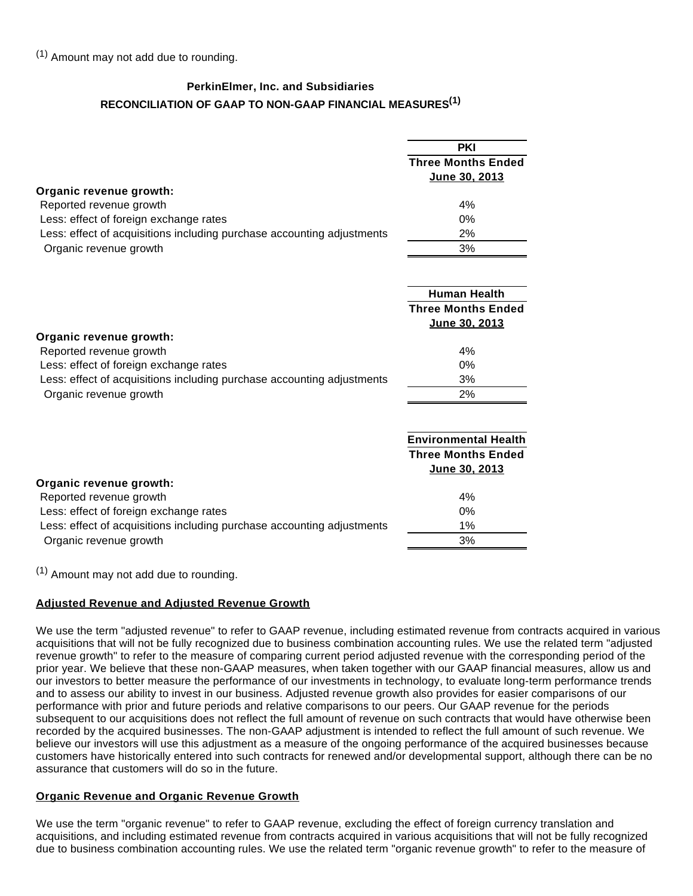# **PerkinElmer, Inc. and Subsidiaries RECONCILIATION OF GAAP TO NON-GAAP FINANCIAL MEASURES(1)**

|                                                                        | <b>PKI</b>                |
|------------------------------------------------------------------------|---------------------------|
|                                                                        | <b>Three Months Ended</b> |
|                                                                        | June 30, 2013             |
| Organic revenue growth:                                                |                           |
| Reported revenue growth                                                | 4%                        |
| Less: effect of foreign exchange rates                                 | 0%                        |
| Less: effect of acquisitions including purchase accounting adjustments | 2%                        |
| Organic revenue growth                                                 | 3%                        |
|                                                                        |                           |

|                                                                        | <b>Human Health</b>                        |
|------------------------------------------------------------------------|--------------------------------------------|
|                                                                        | <b>Three Months Ended</b><br>June 30, 2013 |
| Organic revenue growth:                                                |                                            |
| Reported revenue growth                                                | 4%                                         |
| Less: effect of foreign exchange rates                                 | $0\%$                                      |
| Less: effect of acquisitions including purchase accounting adjustments | 3%                                         |
| Organic revenue growth                                                 | 2%                                         |

|                                                                        | <b>Environmental Health</b>                |
|------------------------------------------------------------------------|--------------------------------------------|
|                                                                        | <b>Three Months Ended</b><br>June 30, 2013 |
| Organic revenue growth:                                                |                                            |
| Reported revenue growth                                                | 4%                                         |
| Less: effect of foreign exchange rates                                 | 0%                                         |
| Less: effect of acquisitions including purchase accounting adjustments | $1\%$                                      |
| Organic revenue growth                                                 | 3%                                         |

(1) Amount may not add due to rounding.

# **Adjusted Revenue and Adjusted Revenue Growth**

We use the term "adjusted revenue" to refer to GAAP revenue, including estimated revenue from contracts acquired in various acquisitions that will not be fully recognized due to business combination accounting rules. We use the related term "adjusted revenue growth" to refer to the measure of comparing current period adjusted revenue with the corresponding period of the prior year. We believe that these non-GAAP measures, when taken together with our GAAP financial measures, allow us and our investors to better measure the performance of our investments in technology, to evaluate long-term performance trends and to assess our ability to invest in our business. Adjusted revenue growth also provides for easier comparisons of our performance with prior and future periods and relative comparisons to our peers. Our GAAP revenue for the periods subsequent to our acquisitions does not reflect the full amount of revenue on such contracts that would have otherwise been recorded by the acquired businesses. The non-GAAP adjustment is intended to reflect the full amount of such revenue. We believe our investors will use this adjustment as a measure of the ongoing performance of the acquired businesses because customers have historically entered into such contracts for renewed and/or developmental support, although there can be no assurance that customers will do so in the future.

# **Organic Revenue and Organic Revenue Growth**

We use the term "organic revenue" to refer to GAAP revenue, excluding the effect of foreign currency translation and acquisitions, and including estimated revenue from contracts acquired in various acquisitions that will not be fully recognized due to business combination accounting rules. We use the related term "organic revenue growth" to refer to the measure of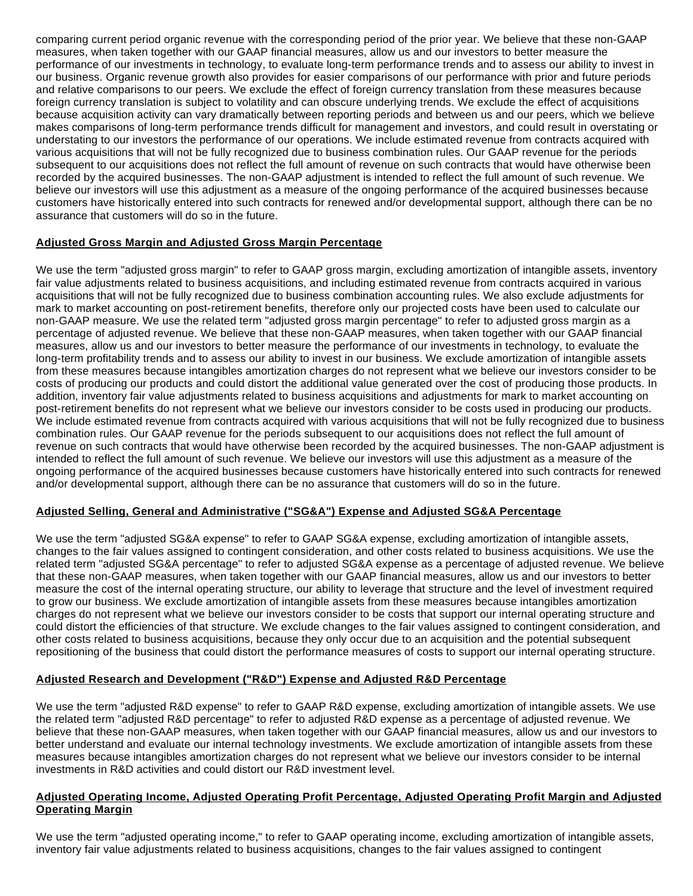comparing current period organic revenue with the corresponding period of the prior year. We believe that these non-GAAP measures, when taken together with our GAAP financial measures, allow us and our investors to better measure the performance of our investments in technology, to evaluate long-term performance trends and to assess our ability to invest in our business. Organic revenue growth also provides for easier comparisons of our performance with prior and future periods and relative comparisons to our peers. We exclude the effect of foreign currency translation from these measures because foreign currency translation is subject to volatility and can obscure underlying trends. We exclude the effect of acquisitions because acquisition activity can vary dramatically between reporting periods and between us and our peers, which we believe makes comparisons of long-term performance trends difficult for management and investors, and could result in overstating or understating to our investors the performance of our operations. We include estimated revenue from contracts acquired with various acquisitions that will not be fully recognized due to business combination rules. Our GAAP revenue for the periods subsequent to our acquisitions does not reflect the full amount of revenue on such contracts that would have otherwise been recorded by the acquired businesses. The non-GAAP adjustment is intended to reflect the full amount of such revenue. We believe our investors will use this adjustment as a measure of the ongoing performance of the acquired businesses because customers have historically entered into such contracts for renewed and/or developmental support, although there can be no assurance that customers will do so in the future.

# **Adjusted Gross Margin and Adjusted Gross Margin Percentage**

We use the term "adjusted gross margin" to refer to GAAP gross margin, excluding amortization of intangible assets, inventory fair value adjustments related to business acquisitions, and including estimated revenue from contracts acquired in various acquisitions that will not be fully recognized due to business combination accounting rules. We also exclude adjustments for mark to market accounting on post-retirement benefits, therefore only our projected costs have been used to calculate our non-GAAP measure. We use the related term "adjusted gross margin percentage" to refer to adjusted gross margin as a percentage of adjusted revenue. We believe that these non-GAAP measures, when taken together with our GAAP financial measures, allow us and our investors to better measure the performance of our investments in technology, to evaluate the long-term profitability trends and to assess our ability to invest in our business. We exclude amortization of intangible assets from these measures because intangibles amortization charges do not represent what we believe our investors consider to be costs of producing our products and could distort the additional value generated over the cost of producing those products. In addition, inventory fair value adjustments related to business acquisitions and adjustments for mark to market accounting on post-retirement benefits do not represent what we believe our investors consider to be costs used in producing our products. We include estimated revenue from contracts acquired with various acquisitions that will not be fully recognized due to business combination rules. Our GAAP revenue for the periods subsequent to our acquisitions does not reflect the full amount of revenue on such contracts that would have otherwise been recorded by the acquired businesses. The non-GAAP adjustment is intended to reflect the full amount of such revenue. We believe our investors will use this adjustment as a measure of the ongoing performance of the acquired businesses because customers have historically entered into such contracts for renewed and/or developmental support, although there can be no assurance that customers will do so in the future.

## **Adjusted Selling, General and Administrative ("SG&A") Expense and Adjusted SG&A Percentage**

We use the term "adjusted SG&A expense" to refer to GAAP SG&A expense, excluding amortization of intangible assets, changes to the fair values assigned to contingent consideration, and other costs related to business acquisitions. We use the related term "adjusted SG&A percentage" to refer to adjusted SG&A expense as a percentage of adjusted revenue. We believe that these non-GAAP measures, when taken together with our GAAP financial measures, allow us and our investors to better measure the cost of the internal operating structure, our ability to leverage that structure and the level of investment required to grow our business. We exclude amortization of intangible assets from these measures because intangibles amortization charges do not represent what we believe our investors consider to be costs that support our internal operating structure and could distort the efficiencies of that structure. We exclude changes to the fair values assigned to contingent consideration, and other costs related to business acquisitions, because they only occur due to an acquisition and the potential subsequent repositioning of the business that could distort the performance measures of costs to support our internal operating structure.

## **Adjusted Research and Development ("R&D") Expense and Adjusted R&D Percentage**

We use the term "adjusted R&D expense" to refer to GAAP R&D expense, excluding amortization of intangible assets. We use the related term "adjusted R&D percentage" to refer to adjusted R&D expense as a percentage of adjusted revenue. We believe that these non-GAAP measures, when taken together with our GAAP financial measures, allow us and our investors to better understand and evaluate our internal technology investments. We exclude amortization of intangible assets from these measures because intangibles amortization charges do not represent what we believe our investors consider to be internal investments in R&D activities and could distort our R&D investment level.

## **Adjusted Operating Income, Adjusted Operating Profit Percentage, Adjusted Operating Profit Margin and Adjusted Operating Margin**

We use the term "adjusted operating income," to refer to GAAP operating income, excluding amortization of intangible assets, inventory fair value adjustments related to business acquisitions, changes to the fair values assigned to contingent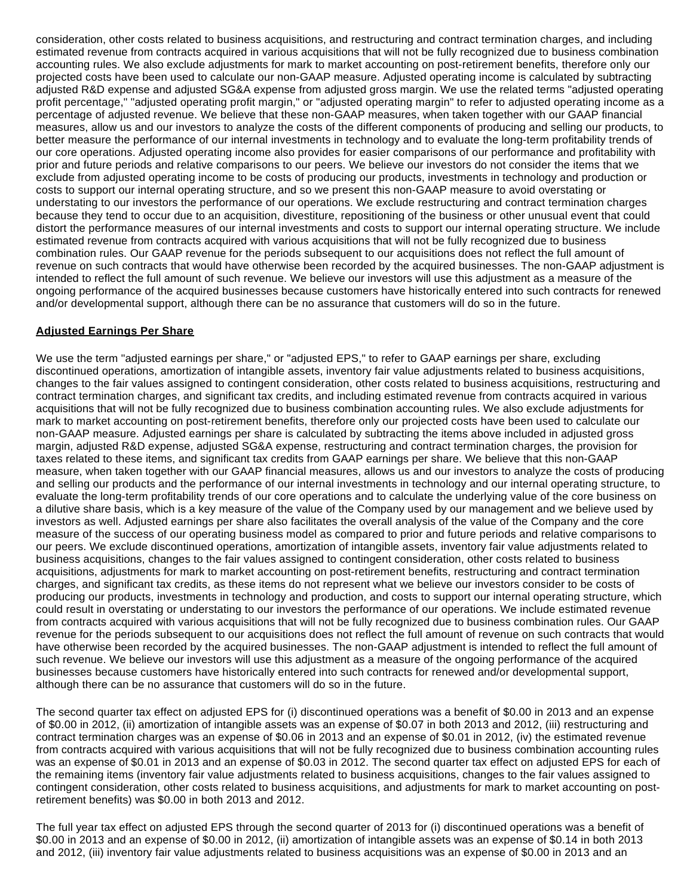consideration, other costs related to business acquisitions, and restructuring and contract termination charges, and including estimated revenue from contracts acquired in various acquisitions that will not be fully recognized due to business combination accounting rules. We also exclude adjustments for mark to market accounting on post-retirement benefits, therefore only our projected costs have been used to calculate our non-GAAP measure. Adjusted operating income is calculated by subtracting adjusted R&D expense and adjusted SG&A expense from adjusted gross margin. We use the related terms "adjusted operating profit percentage," "adjusted operating profit margin," or "adjusted operating margin" to refer to adjusted operating income as a percentage of adjusted revenue. We believe that these non-GAAP measures, when taken together with our GAAP financial measures, allow us and our investors to analyze the costs of the different components of producing and selling our products, to better measure the performance of our internal investments in technology and to evaluate the long-term profitability trends of our core operations. Adjusted operating income also provides for easier comparisons of our performance and profitability with prior and future periods and relative comparisons to our peers. We believe our investors do not consider the items that we exclude from adjusted operating income to be costs of producing our products, investments in technology and production or costs to support our internal operating structure, and so we present this non-GAAP measure to avoid overstating or understating to our investors the performance of our operations. We exclude restructuring and contract termination charges because they tend to occur due to an acquisition, divestiture, repositioning of the business or other unusual event that could distort the performance measures of our internal investments and costs to support our internal operating structure. We include estimated revenue from contracts acquired with various acquisitions that will not be fully recognized due to business combination rules. Our GAAP revenue for the periods subsequent to our acquisitions does not reflect the full amount of revenue on such contracts that would have otherwise been recorded by the acquired businesses. The non-GAAP adjustment is intended to reflect the full amount of such revenue. We believe our investors will use this adjustment as a measure of the ongoing performance of the acquired businesses because customers have historically entered into such contracts for renewed and/or developmental support, although there can be no assurance that customers will do so in the future.

# **Adjusted Earnings Per Share**

We use the term "adjusted earnings per share," or "adjusted EPS," to refer to GAAP earnings per share, excluding discontinued operations, amortization of intangible assets, inventory fair value adjustments related to business acquisitions, changes to the fair values assigned to contingent consideration, other costs related to business acquisitions, restructuring and contract termination charges, and significant tax credits, and including estimated revenue from contracts acquired in various acquisitions that will not be fully recognized due to business combination accounting rules. We also exclude adjustments for mark to market accounting on post-retirement benefits, therefore only our projected costs have been used to calculate our non-GAAP measure. Adjusted earnings per share is calculated by subtracting the items above included in adjusted gross margin, adjusted R&D expense, adjusted SG&A expense, restructuring and contract termination charges, the provision for taxes related to these items, and significant tax credits from GAAP earnings per share. We believe that this non-GAAP measure, when taken together with our GAAP financial measures, allows us and our investors to analyze the costs of producing and selling our products and the performance of our internal investments in technology and our internal operating structure, to evaluate the long-term profitability trends of our core operations and to calculate the underlying value of the core business on a dilutive share basis, which is a key measure of the value of the Company used by our management and we believe used by investors as well. Adjusted earnings per share also facilitates the overall analysis of the value of the Company and the core measure of the success of our operating business model as compared to prior and future periods and relative comparisons to our peers. We exclude discontinued operations, amortization of intangible assets, inventory fair value adjustments related to business acquisitions, changes to the fair values assigned to contingent consideration, other costs related to business acquisitions, adjustments for mark to market accounting on post-retirement benefits, restructuring and contract termination charges, and significant tax credits, as these items do not represent what we believe our investors consider to be costs of producing our products, investments in technology and production, and costs to support our internal operating structure, which could result in overstating or understating to our investors the performance of our operations. We include estimated revenue from contracts acquired with various acquisitions that will not be fully recognized due to business combination rules. Our GAAP revenue for the periods subsequent to our acquisitions does not reflect the full amount of revenue on such contracts that would have otherwise been recorded by the acquired businesses. The non-GAAP adjustment is intended to reflect the full amount of such revenue. We believe our investors will use this adjustment as a measure of the ongoing performance of the acquired businesses because customers have historically entered into such contracts for renewed and/or developmental support, although there can be no assurance that customers will do so in the future.

The second quarter tax effect on adjusted EPS for (i) discontinued operations was a benefit of \$0.00 in 2013 and an expense of \$0.00 in 2012, (ii) amortization of intangible assets was an expense of \$0.07 in both 2013 and 2012, (iii) restructuring and contract termination charges was an expense of \$0.06 in 2013 and an expense of \$0.01 in 2012, (iv) the estimated revenue from contracts acquired with various acquisitions that will not be fully recognized due to business combination accounting rules was an expense of \$0.01 in 2013 and an expense of \$0.03 in 2012. The second quarter tax effect on adjusted EPS for each of the remaining items (inventory fair value adjustments related to business acquisitions, changes to the fair values assigned to contingent consideration, other costs related to business acquisitions, and adjustments for mark to market accounting on postretirement benefits) was \$0.00 in both 2013 and 2012.

The full year tax effect on adjusted EPS through the second quarter of 2013 for (i) discontinued operations was a benefit of \$0.00 in 2013 and an expense of \$0.00 in 2012, (ii) amortization of intangible assets was an expense of \$0.14 in both 2013 and 2012, (iii) inventory fair value adjustments related to business acquisitions was an expense of \$0.00 in 2013 and an